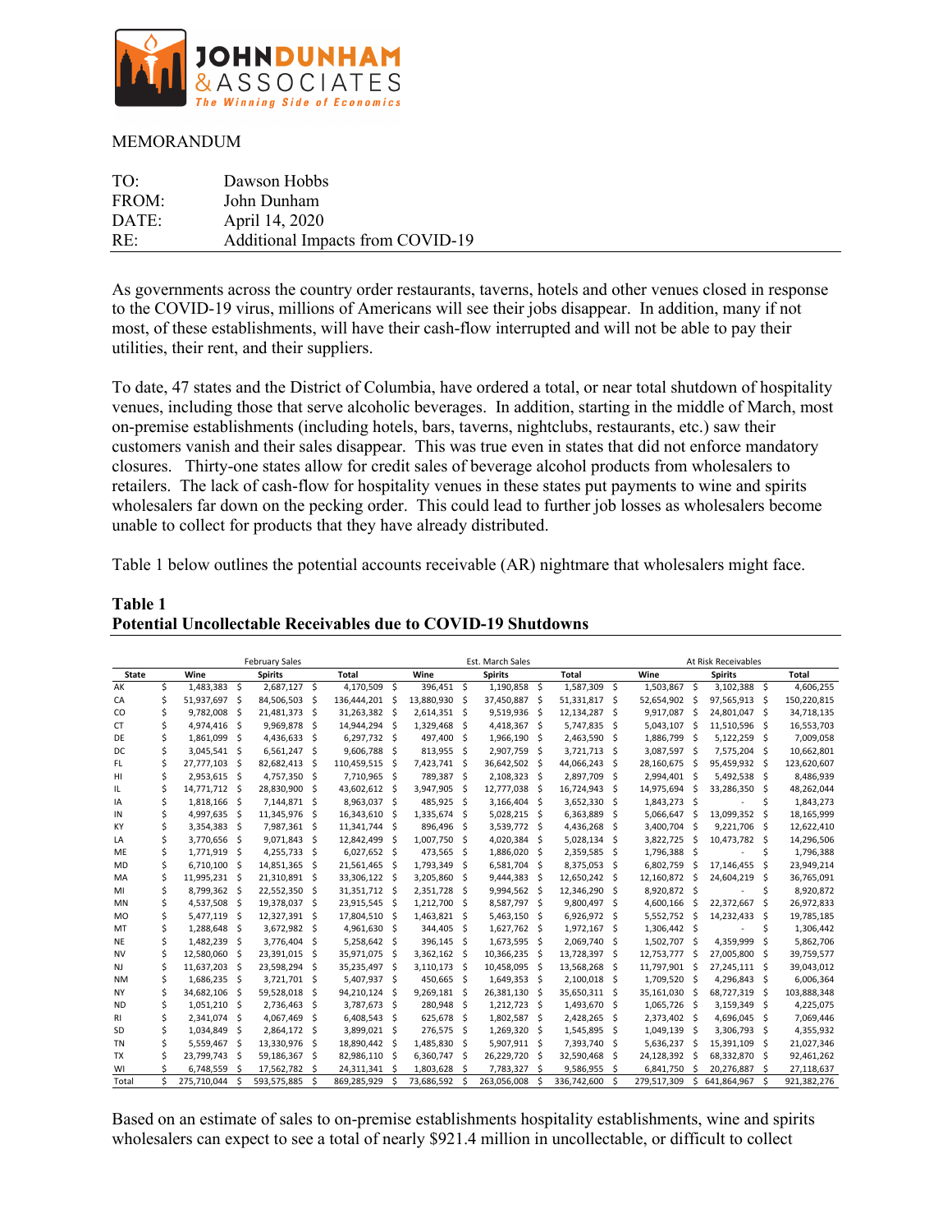

## **MEMORANDUM**

| TO:   | Dawson Hobbs                     |
|-------|----------------------------------|
| FROM: | John Dunham                      |
| DATE: | April 14, 2020                   |
| RE:   | Additional Impacts from COVID-19 |

As governments across the country order restaurants, taverns, hotels and other venues closed in response to the COVID-19 virus, millions of Americans will see their jobs disappear. In addition, many if not most, of these establishments, will have their cash-flow interrupted and will not be able to pay their utilities, their rent, and their suppliers.

To date, 47 states and the District of Columbia, have ordered a total, or near total shutdown of hospitality venues, including those that serve alcoholic beverages. In addition, starting in the middle of March, most on-premise establishments (including hotels, bars, taverns, nightclubs, restaurants, etc.) saw their customers vanish and their sales disappear. This was true even in states that did not enforce mandatory closures. Thirty-one states allow for credit sales of beverage alcohol products from wholesalers to retailers. The lack of cash-flow for hospitality venues in these states put payments to wine and spirits wholesalers far down on the pecking order. This could lead to further job losses as wholesalers become unable to collect for products that they have already distributed.

Table 1 below outlines the potential accounts receivable (AR) nightmare that wholesalers might face.

|              |    | <b>February Sales</b> |    |                |    | Est. March Sales |     |              |      |                |     | At Risk Receivables |          |               |      |                |    |             |
|--------------|----|-----------------------|----|----------------|----|------------------|-----|--------------|------|----------------|-----|---------------------|----------|---------------|------|----------------|----|-------------|
| <b>State</b> |    | Wine                  |    | <b>Spirits</b> |    | <b>Total</b>     |     | Wine         |      | <b>Spirits</b> |     | Total               |          | Wine          |      | <b>Spirits</b> |    | Total       |
| AK           | \$ | 1.483.383             | \$ | 2,687,127 \$   |    | 4,170,509        | \$  | 396.451 \$   |      | 1.190.858      | Ŝ.  | 1,587,309           | <b>S</b> | 1.503.867 \$  |      | 3.102.388      | \$ | 4,606,255   |
| CA           | \$ | 51,937,697            | \$ | 84,506,503     | Ŝ  | 136,444,201      | \$  | 13,880,930   | -\$  | 37,450,887     | -\$ | 51,331,817          | - Ś      | 52,654,902    | - \$ | 97,565,913     | \$ | 150,220,815 |
| CO           | \$ | 9,782,008             | \$ | 21,481,373     | \$ | 31,263,382       | Ŝ.  | 2,614,351 \$ |      | 9,519,936      | Ŝ.  | 12,134,287          | Ŝ.       | 9,917,087     | Ŝ.   | 24,801,047     | \$ | 34,718,135  |
| <b>CT</b>    | Ś  | 4,974,416             | \$ | 9,969,878      | Ś  | 14,944,294       | Ś   | 1,329,468    | -\$  | 4,418,367      | Ŝ.  | 5,747,835           | -Ś       | 5,043,107     | Ŝ.   | 11,510,596     | Ŝ. | 16,553,703  |
| DE           | Ś  | 1,861,099             | Ś  | 4,436,633      | Ś  | 6,297,732        | Ŝ.  | 497,400      | -\$  | 1,966,190      | Ŝ   | 2,463,590           | -Ś       | 1,886,799     | Ŝ.   | 5,122,259      | Ś  | 7,009,058   |
| DC           | Ś  | 3,045,541             | \$ | 6,561,247      | Ś  | 9,606,788        | Ś   | 813,955 \$   |      | 2,907,759      | Ŝ.  | 3,721,713 \$        |          | 3,087,597     | -Ś   | 7,575,204      | Ŝ. | 10,662,801  |
| FL.          | Ś  | 27,777,103            | \$ | 82,682,413     | Ś  | 110,459,515      | Ś   | 7,423,741 \$ |      | 36,642,502     | -Ś  | 44,066,243          | Ŝ.       | 28,160,675    | S    | 95,459,932     | Ŝ. | 123,620,607 |
| HI           | \$ | 2,953,615             | S. | 4,757,350      | \$ | 7,710,965        | \$  | 789,387 \$   |      | 2,108,323      | -\$ | 2,897,709           | - \$     | 2,994,401     | -Ś   | 5,492,538      | S. | 8,486,939   |
| IL           | \$ | 14,771,712            | \$ | 28,830,900     | \$ | 43,602,612       | \$  | 3,947,905    | -\$  | 12,777,038     | Ŝ.  | 16,724,943          | - Ś      | 14,975,694    | Ŝ.   | 33,286,350     | \$ | 48,262,044  |
| IA           | \$ | 1,818,166             | \$ | 7,144,871      | \$ | 8,963,037        | \$  | 485,925      | - \$ | 3,166,404      | Ŝ.  | 3,652,330 \$        |          | 1,843,273     | - Ś  |                | \$ | 1,843,273   |
| IN           | Ś  | 4,997,635             | Ŝ. | 11,345,976     | Ś  | 16,343,610       | Ś   | 1,335,674    | Ŝ.   | 5,028,215      | Ŝ.  | 6,363,889           | Ŝ.       | 5,066,647     | Ś    | 13,099,352     | \$ | 18,165,999  |
| KY           | Ś  | 3,354,383             | \$ | 7,987,361      | Ś  | 11,341,744       | Ŝ.  | 896,496      | -\$  | 3,539,772      | Ŝ.  | 4,436,268           | Ŝ.       | 3,400,704     | Ŝ.   | 9,221,706      | Ŝ. | 12,622,410  |
| LA           | Ś  | 3,770,656             | \$ | 9,071,843      | \$ | 12,842,499       | Ŝ.  | 1,007,750    | -Ś   | 4,020,384      | Ŝ.  | 5,028,134           | Ŝ.       | 3,822,725     |      | 10,473,782     | Ŝ. | 14,296,506  |
| <b>ME</b>    | Ś  | 1,771,919             | \$ | 4,255,733      | .s | 6,027,652        | Ŝ.  | 473,565      | -Ś   | 1,886,020      | .s  | 2,359,585           | <b>S</b> | 1,796,388 \$  |      |                | Ś  | 1,796,388   |
| <b>MD</b>    | Ś  | 6.710.100             | Ŝ. | 14,851,365     | \$ | 21,561,465       | Ŝ.  | 1,793,349    | Ŝ.   | 6,581,704      | Ŝ.  | 8,375,053           | - \$     | 6,802,759     | .s   | 17.146.455     | Ś  | 23,949,214  |
| MA           | \$ | 11,995,231            | S. | 21,310,891     | \$ | 33,306,122       | \$  | 3,205,860    | S,   | 9,444,383      | Ŝ.  | 12,650,242 \$       |          | 12,160,872    | -Ś   | 24,604,219     | \$ | 36,765,091  |
| MI           | \$ | 8,799,362             | \$ | 22,552,350     | \$ | 31,351,712       | Ŝ.  | 2,351,728    | S,   | 9,994,562      | Ŝ.  | 12,346,290 \$       |          | 8,920,872 \$  |      |                | \$ | 8,920,872   |
| <b>MN</b>    | Ś  | 4,537,508             | .s | 19,378,037     | \$ | 23,915,545       | Ŝ.  | 1,212,700    | S.   | 8,587,797      | Ŝ.  | 9,800,497           | -\$      | 4,600,166     | Ŝ.   | 22,372,667     | \$ | 26,972,833  |
| <b>MO</b>    | Ś  | 5,477,119             | \$ | 12,327,391     | Ś  | 17,804,510       | \$  | 1,463,821 \$ |      | 5,463,150      | Ŝ   | 6,926,972           | \$       | 5,552,752     | .S   | 14,232,433     | Ś  | 19,785,185  |
| MT           | Ś  | 1,288,648             | \$ | 3,672,982      | \$ | 4,961,630        | \$  | 344,405 \$   |      | 1,627,762      | Ŝ.  | 1,972,167 \$        |          | 1,306,442 \$  |      |                | Ś  | 1,306,442   |
| <b>NE</b>    | Ś  | 1,482,239             | \$ | 3,776,404      | \$ | 5,258,642        | \$  | 396,145 \$   |      | 1,673,595 \$   |     | 2,069,740 \$        |          | 1,502,707 \$  |      | 4,359,999      | \$ | 5,862,706   |
| <b>NV</b>    | Ś  | 12,580,060            | \$ | 23,391,015     | \$ | 35,971,075       | \$  | 3,362,162 \$ |      | 10,366,235     | Ŝ.  | 13,728,397 \$       |          | 12,753,777    | Ŝ.   | 27,005,800     | \$ | 39,759,577  |
| NJ           | \$ | 11,637,203            | S. | 23,598,294     | \$ | 35,235,497       | \$  | 3,110,173 \$ |      | 10,458,095     | -\$ | 13,568,268 \$       |          | 11,797,901 \$ |      | 27,245,111     | S. | 39,043,012  |
| <b>NM</b>    | \$ | 1,686,235             | \$ | 3,721,701      | \$ | 5,407,937        | \$  | 450,665 \$   |      | 1,649,353      | -\$ | 2,100,018 \$        |          | 1,709,520 \$  |      | 4,296,843      | \$ | 6,006,364   |
| <b>NY</b>    | Ś  | 34,682,106            | Ŝ. | 59,528,018     | \$ | 94,210,124       | \$  | 9,269,181 \$ |      | 26,381,130     | Ŝ.  | 35,650,311 \$       |          | 35,161,030    | .s   | 68,727,319     | Ŝ. | 103,888,348 |
| <b>ND</b>    | Ś  | 1,051,210             | \$ | 2,736,463      | Ś  | 3,787,673        | Ś   | 280,948 \$   |      | 1,212,723      | Ŝ.  | 1,493,670           | - Ś      | 1,065,726     | Ŝ.   | 3,159,349      | \$ | 4,225,075   |
| RI           | Ś  | 2,341,074             | \$ | 4,067,469      | Ś  | 6,408,543        | Ś   | 625,678 \$   |      | 1,802,587      | Ŝ.  | 2,428,265           | - \$     | 2,373,402     | .s   | 4,696,045      | \$ | 7,069,446   |
| SD           | Ś  | 1,034,849             | Ŝ  | 2,864,172      | Ŝ. | 3,899,021        | Ŝ.  | 276,575 \$   |      | 1,269,320      | -Ś  | 1,545,895           | - \$     | 1,049,139     | - \$ | 3,306,793      | .s | 4,355,932   |
| <b>TN</b>    | Ś  | 5,559,467             | .s | 13,330,976     | \$ | 18,890,442       | Ŝ.  | 1,485,830    | -\$  | 5,907,911 \$   |     | 7,393,740 \$        |          | 5.636.237     | -Ś   | 15,391,109     | Ŝ. | 21,027,346  |
| <b>TX</b>    | Ś  | 23,799,743            | \$ | 59,186,367     | \$ | 82,986,110       | Ŝ.  | 6,360,747    | -\$  | 26,229,720     | Ŝ.  | 32,590,468          | -\$      | 24,128,392    | -Ś   | 68,332,870     | \$ | 92,461,262  |
| WI           | ς  | 6,748,559             | Ŝ  | 17,562,782     | Ś  | 24,311,341       | Ŝ   | 1,803,628    | -Ś   | 7,783,327      | Ŝ.  | 9,586,955           | Ŝ.       | 6,841,750     | Ŝ.   | 20,276,887     | Ś  | 27,118,637  |
| Total        | Ś  | 275.710.044           | Ŝ. | 593.575.885    | Ś  | 869.285.929      | \$. | 73.686.592   | Ŝ.   | 263.056.008    | Ś   | 336.742.600         | Ŝ.       | 279.517.309   | \$   | 641.864.967    | Ŝ. | 921.382.276 |

## **Table 1 Potential Uncollectable Receivables due to COVID-19 Shutdowns**

Based on an estimate of sales to on-premise establishments hospitality establishments, wine and spirits wholesalers can expect to see a total of nearly \$921.4 million in uncollectable, or difficult to collect